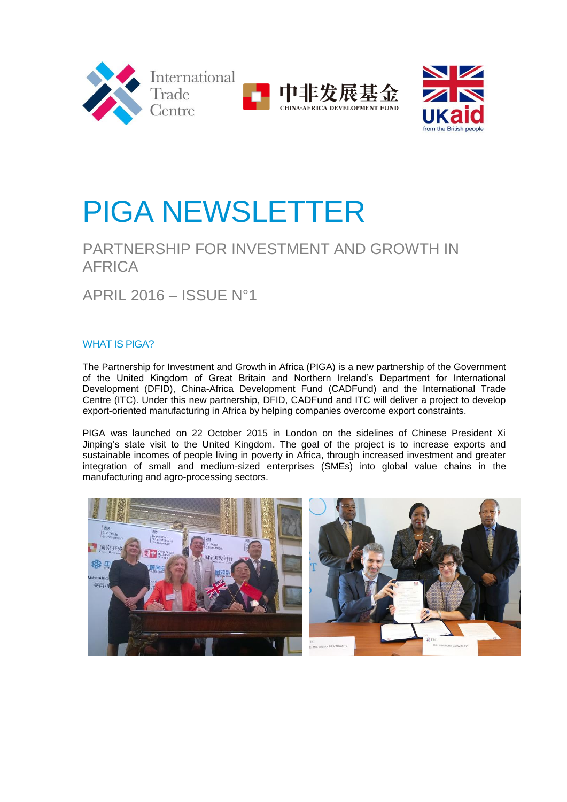



# PIGA NEWSLETTER

# PARTNERSHIP FOR INVESTMENT AND GROWTH IN AFRICA

APRIL 2016 – ISSUE N°1

# WHAT IS PIGA?

The Partnership for Investment and Growth in Africa (PIGA) is a new partnership of the Government of the United Kingdom of Great Britain and Northern Ireland's Department for International Development (DFID), China-Africa Development Fund (CADFund) and the International Trade Centre (ITC). Under this new partnership, DFID, CADFund and ITC will deliver a project to develop export-oriented manufacturing in Africa by helping companies overcome export constraints.

PIGA was launched on 22 October 2015 in London on the sidelines of Chinese President Xi Jinping's state visit to the United Kingdom. The goal of the project is to increase exports and sustainable incomes of people living in poverty in Africa, through increased investment and greater integration of small and medium-sized enterprises (SMEs) into global value chains in the manufacturing and agro-processing sectors.

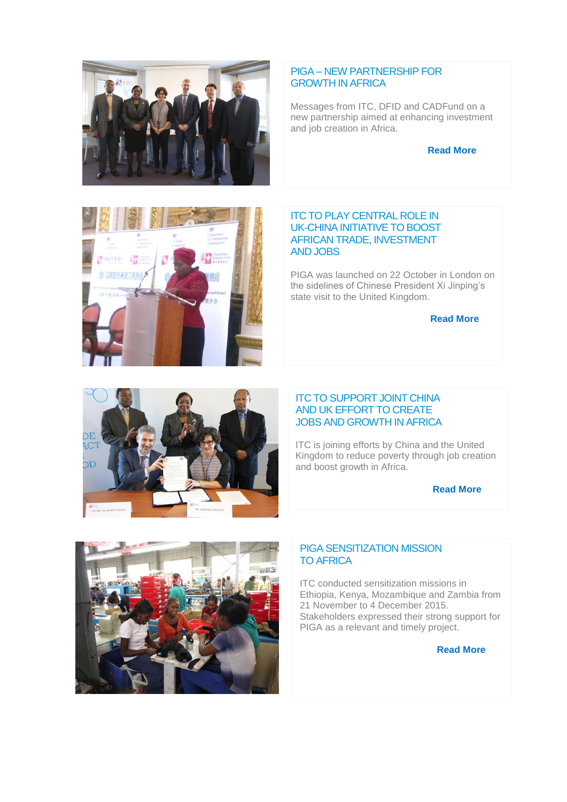

# PIGA – NEW PARTNERSHIP FOR GROWTH IN AFRICA

Messages from ITC, DFID and CADFund on a new partnership aimed at enhancing investment and job creation in Africa.

#### **Read More**



PIGA was launched on 22 October in London on the sidelines of Chinese President Xi Jinping's state visit to the United Kingdom.

#### **Read More**



NA

#### ITC TO SUPPORT JOINT CHINA AND UK EFFORT TO CREATE JOBS AND GROWTH IN AFRICA

ITC is joining efforts by China and the United Kingdom to reduce poverty through job creation and boost growth in Africa.

**Read More**



#### PIGA SENSITIZATION MISSION TO AFRICA

ITC conducted sensitization missions in Ethiopia, Kenya, Mozambique and Zambia from 21 November to 4 December 2015. Stakeholders expressed their strong support for PIGA as a relevant and timely project.

**Read More**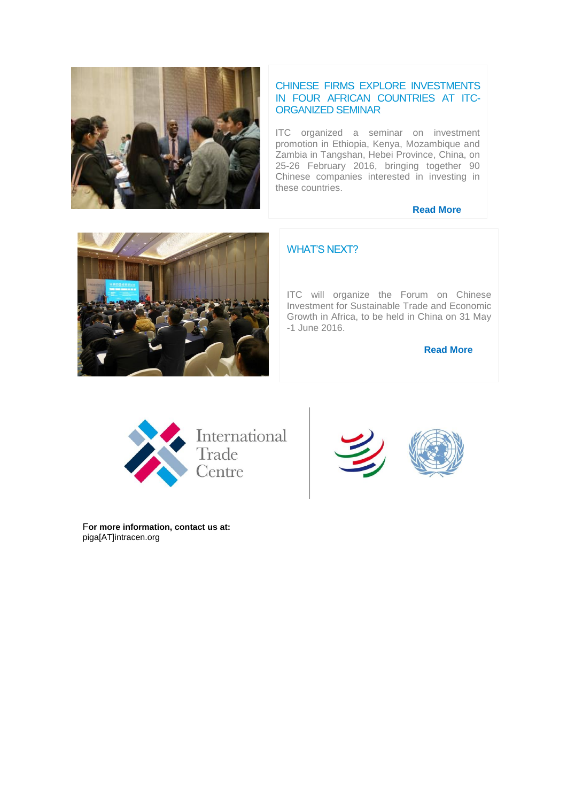

# CHINESE FIRMS EXPLORE INVESTMENTS IN FOUR AFRICAN COUNTRIES AT ITC-ORGANIZED SEMINAR

ITC organized a seminar on investment promotion in Ethiopia, Kenya, Mozambique and Zambia in Tangshan, Hebei Province, China, on 25-26 February 2016, bringing together 90 Chinese companies interested in investing in these countries.

#### **Read More**



# WHAT'S NEXT?

ITC will organize the Forum on Chinese Investment for Sustainable Trade and Economic Growth in Africa, to be held in China on 31 May -1 June 2016.

**Read More**





F**or more information, contact us at:** piga[AT]intracen.org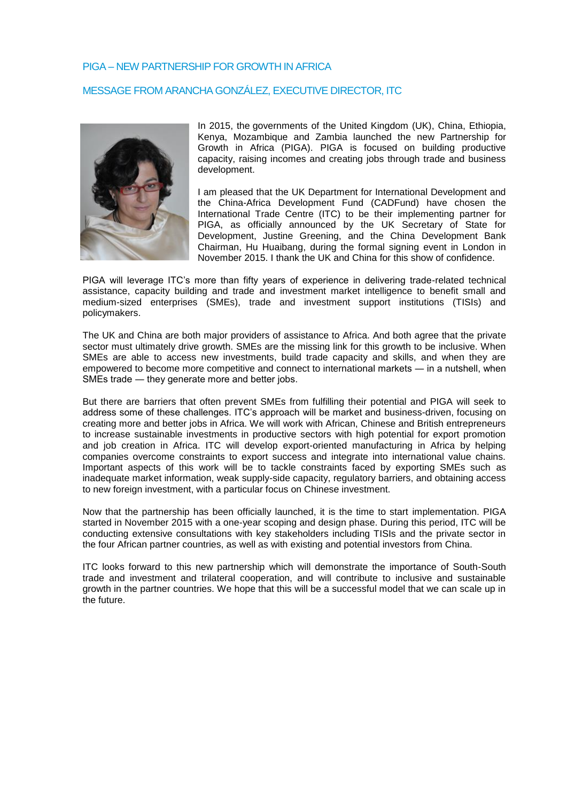# PIGA – NEW PARTNERSHIP FOR GROWTH IN AFRICA

#### MESSAGE FROM ARANCHA GONZÁLEZ, EXECUTIVE DIRECTOR, ITC



In 2015, the governments of the United Kingdom (UK), China, Ethiopia, Kenya, Mozambique and Zambia launched the new Partnership for Growth in Africa (PIGA). PIGA is focused on building productive capacity, raising incomes and creating jobs through trade and business development.

I am pleased that the UK Department for International Development and the China-Africa Development Fund (CADFund) have chosen the International Trade Centre (ITC) to be their implementing partner for PIGA, as officially announced by the UK Secretary of State for Development, Justine Greening, and the China Development Bank Chairman, Hu Huaibang, during the formal signing event in London in November 2015. I thank the UK and China for this show of confidence.

PIGA will leverage ITC's more than fifty years of experience in delivering trade-related technical assistance, capacity building and trade and investment market intelligence to benefit small and medium-sized enterprises (SMEs), trade and investment support institutions (TISIs) and policymakers.

The UK and China are both major providers of assistance to Africa. And both agree that the private sector must ultimately drive growth. SMEs are the missing link for this growth to be inclusive. When SMEs are able to access new investments, build trade capacity and skills, and when they are empowered to become more competitive and connect to international markets ― in a nutshell, when SMEs trade ― they generate more and better jobs.

But there are barriers that often prevent SMEs from fulfilling their potential and PIGA will seek to address some of these challenges. ITC's approach will be market and business-driven, focusing on creating more and better jobs in Africa. We will work with African, Chinese and British entrepreneurs to increase sustainable investments in productive sectors with high potential for export promotion and job creation in Africa. ITC will develop export-oriented manufacturing in Africa by helping companies overcome constraints to export success and integrate into international value chains. Important aspects of this work will be to tackle constraints faced by exporting SMEs such as inadequate market information, weak supply-side capacity, regulatory barriers, and obtaining access to new foreign investment, with a particular focus on Chinese investment.

Now that the partnership has been officially launched, it is the time to start implementation. PIGA started in November 2015 with a one-year scoping and design phase. During this period, ITC will be conducting extensive consultations with key stakeholders including TISIs and the private sector in the four African partner countries, as well as with existing and potential investors from China.

ITC looks forward to this new partnership which will demonstrate the importance of South-South trade and investment and trilateral cooperation, and will contribute to inclusive and sustainable growth in the partner countries. We hope that this will be a successful model that we can scale up in the future.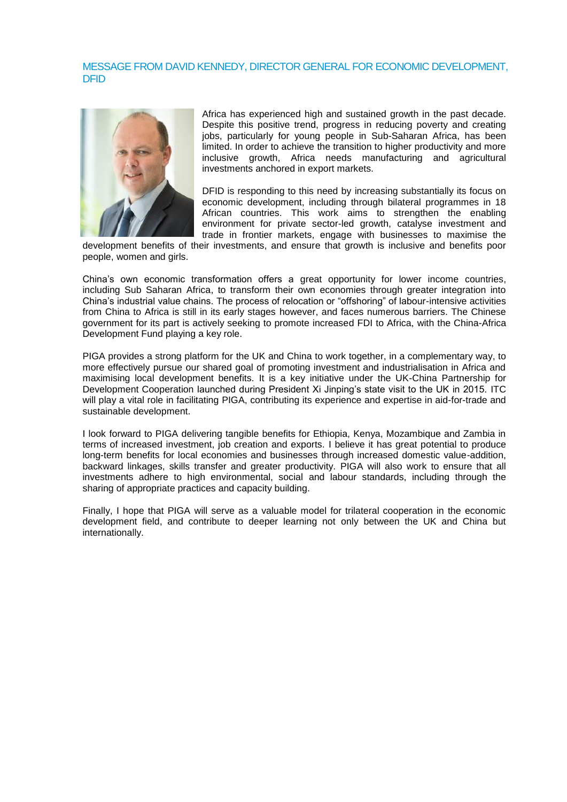#### MESSAGE FROM DAVID KENNEDY, DIRECTOR GENERAL FOR ECONOMIC DEVELOPMENT, DFID



Africa has experienced high and sustained growth in the past decade. Despite this positive trend, progress in reducing poverty and creating jobs, particularly for young people in Sub-Saharan Africa, has been limited. In order to achieve the transition to higher productivity and more inclusive growth, Africa needs manufacturing and agricultural investments anchored in export markets.

DFID is responding to this need by increasing substantially its focus on economic development, including through bilateral programmes in 18 African countries. This work aims to strengthen the enabling environment for private sector-led growth, catalyse investment and trade in frontier markets, engage with businesses to maximise the

development benefits of their investments, and ensure that growth is inclusive and benefits poor people, women and girls.

China's own economic transformation offers a great opportunity for lower income countries, including Sub Saharan Africa, to transform their own economies through greater integration into China's industrial value chains. The process of relocation or "offshoring" of labour-intensive activities from China to Africa is still in its early stages however, and faces numerous barriers. The Chinese government for its part is actively seeking to promote increased FDI to Africa, with the China-Africa Development Fund playing a key role.

PIGA provides a strong platform for the UK and China to work together, in a complementary way, to more effectively pursue our shared goal of promoting investment and industrialisation in Africa and maximising local development benefits. It is a key initiative under the UK-China Partnership for Development Cooperation launched during President Xi Jinping's state visit to the UK in 2015. ITC will play a vital role in facilitating PIGA, contributing its experience and expertise in aid-for-trade and sustainable development.

I look forward to PIGA delivering tangible benefits for Ethiopia, Kenya, Mozambique and Zambia in terms of increased investment, job creation and exports. I believe it has great potential to produce long-term benefits for local economies and businesses through increased domestic value-addition, backward linkages, skills transfer and greater productivity. PIGA will also work to ensure that all investments adhere to high environmental, social and labour standards, including through the sharing of appropriate practices and capacity building.

Finally, I hope that PIGA will serve as a valuable model for trilateral cooperation in the economic development field, and contribute to deeper learning not only between the UK and China but internationally.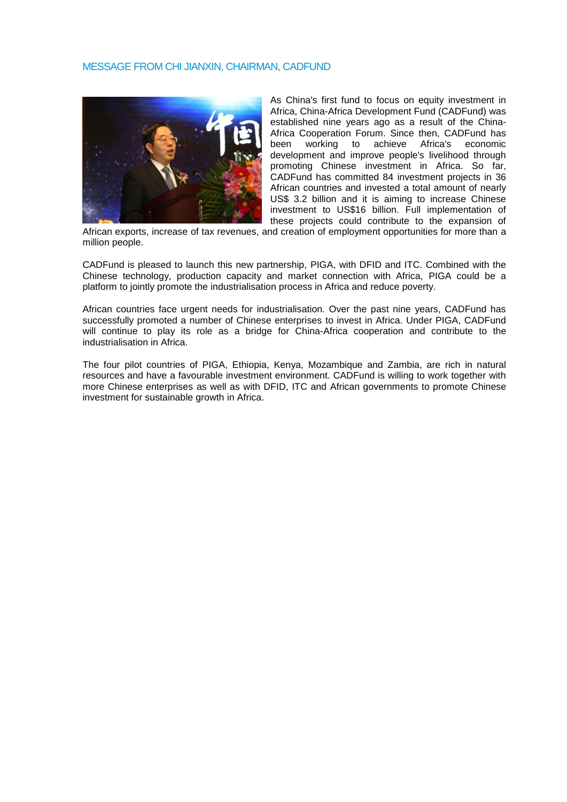#### MESSAGE FROM CHI JIANXIN, CHAIRMAN, CADFUND



As China's first fund to focus on equity investment in Africa, China-Africa Development Fund (CADFund) was established nine years ago as a result of the China-Africa Cooperation Forum. Since then, CADFund has been working to achieve Africa's economic development and improve people's livelihood through promoting Chinese investment in Africa. So far, CADFund has committed 84 investment projects in 36 African countries and invested a total amount of nearly US\$ 3.2 billion and it is aiming to increase Chinese investment to US\$16 billion. Full implementation of these projects could contribute to the expansion of

African exports, increase of tax revenues, and creation of employment opportunities for more than a million people.

CADFund is pleased to launch this new partnership, PIGA, with DFID and ITC. Combined with the Chinese technology, production capacity and market connection with Africa, PIGA could be a platform to jointly promote the industrialisation process in Africa and reduce poverty.

African countries face urgent needs for industrialisation. Over the past nine years, CADFund has successfully promoted a number of Chinese enterprises to invest in Africa. Under PIGA, CADFund will continue to play its role as a bridge for China-Africa cooperation and contribute to the industrialisation in Africa.

The four pilot countries of PIGA, Ethiopia, Kenya, Mozambique and Zambia, are rich in natural resources and have a favourable investment environment. CADFund is willing to work together with more Chinese enterprises as well as with DFID, ITC and African governments to promote Chinese investment for sustainable growth in Africa.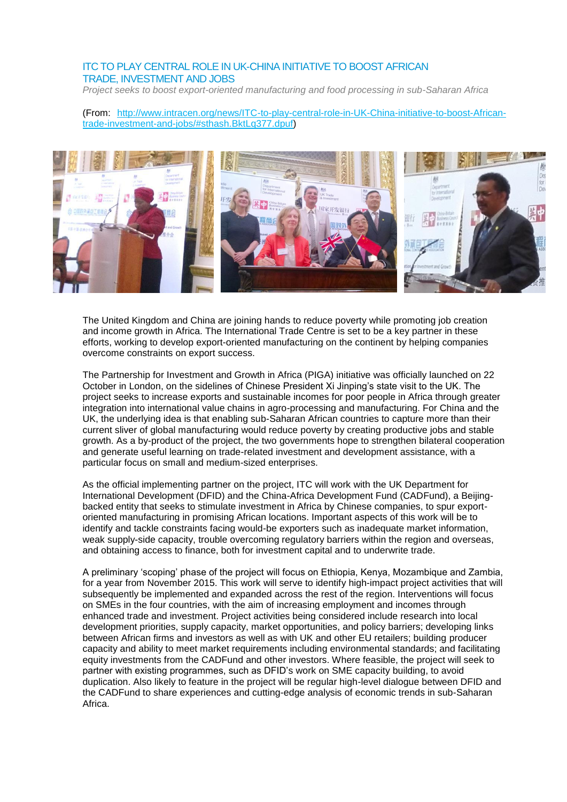## ITC TO PLAY CENTRAL ROLE IN UK-CHINA INITIATIVE TO BOOST AFRICAN TRADE, INVESTMENT AND JOBS

*Project seeks to boost export-oriented manufacturing and food processing in sub-Saharan Africa*

#### (From: [http://www.intracen.org/news/ITC-to-play-central-role-in-UK-China-initiative-to-boost-African](http://www.intracen.org/news/ITC-to-play-central-role-in-UK-China-initiative-to-boost-African-trade-investment-and-jobs/#sthash.BktLq377.dpuf)[trade-investment-and-jobs/#sthash.BktLq377.dpuf\)](http://www.intracen.org/news/ITC-to-play-central-role-in-UK-China-initiative-to-boost-African-trade-investment-and-jobs/#sthash.BktLq377.dpuf)



The United Kingdom and China are joining hands to reduce poverty while promoting job creation and income growth in Africa. The International Trade Centre is set to be a key partner in these efforts, working to develop export-oriented manufacturing on the continent by helping companies overcome constraints on export success.

The Partnership for Investment and Growth in Africa (PIGA) initiative was officially launched on 22 October in London, on the sidelines of Chinese President Xi Jinping's state visit to the UK. The project seeks to increase exports and sustainable incomes for poor people in Africa through greater integration into international value chains in agro-processing and manufacturing. For China and the UK, the underlying idea is that enabling sub-Saharan African countries to capture more than their current sliver of global manufacturing would reduce poverty by creating productive jobs and stable growth. As a by-product of the project, the two governments hope to strengthen bilateral cooperation and generate useful learning on trade-related investment and development assistance, with a particular focus on small and medium-sized enterprises.

As the official implementing partner on the project, ITC will work with the UK Department for International Development (DFID) and the China-Africa Development Fund (CADFund), a Beijingbacked entity that seeks to stimulate investment in Africa by Chinese companies, to spur exportoriented manufacturing in promising African locations. Important aspects of this work will be to identify and tackle constraints facing would-be exporters such as inadequate market information, weak supply-side capacity, trouble overcoming regulatory barriers within the region and overseas, and obtaining access to finance, both for investment capital and to underwrite trade.

A preliminary 'scoping' phase of the project will focus on Ethiopia, Kenya, Mozambique and Zambia, for a year from November 2015. This work will serve to identify high-impact project activities that will subsequently be implemented and expanded across the rest of the region. Interventions will focus on SMEs in the four countries, with the aim of increasing employment and incomes through enhanced trade and investment. Project activities being considered include research into local development priorities, supply capacity, market opportunities, and policy barriers; developing links between African firms and investors as well as with UK and other EU retailers; building producer capacity and ability to meet market requirements including environmental standards; and facilitating equity investments from the CADFund and other investors. Where feasible, the project will seek to partner with existing programmes, such as DFID's work on SME capacity building, to avoid duplication. Also likely to feature in the project will be regular high-level dialogue between DFID and the CADFund to share experiences and cutting-edge analysis of economic trends in sub-Saharan Africa.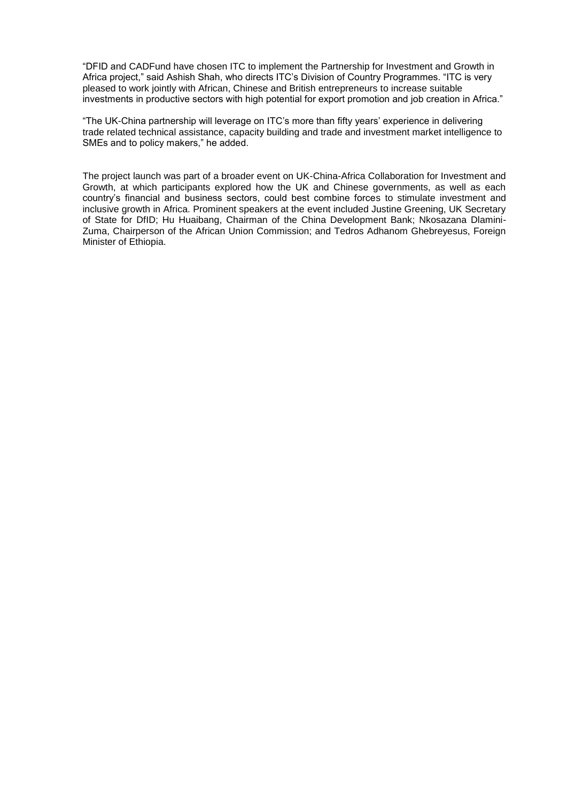"DFID and CADFund have chosen ITC to implement the Partnership for Investment and Growth in Africa project," said Ashish Shah, who directs ITC's Division of Country Programmes. "ITC is very pleased to work jointly with African, Chinese and British entrepreneurs to increase suitable investments in productive sectors with high potential for export promotion and job creation in Africa."

"The UK-China partnership will leverage on ITC's more than fifty years' experience in delivering trade related technical assistance, capacity building and trade and investment market intelligence to SMEs and to policy makers," he added.

The project launch was part of a broader event on UK-China-Africa Collaboration for Investment and Growth, at which participants explored how the UK and Chinese governments, as well as each country's financial and business sectors, could best combine forces to stimulate investment and inclusive growth in Africa. Prominent speakers at the event included Justine Greening, UK Secretary of State for DfID; Hu Huaibang, Chairman of the China Development Bank; Nkosazana Dlamini-Zuma, Chairperson of the African Union Commission; and Tedros Adhanom Ghebreyesus, Foreign Minister of Ethiopia.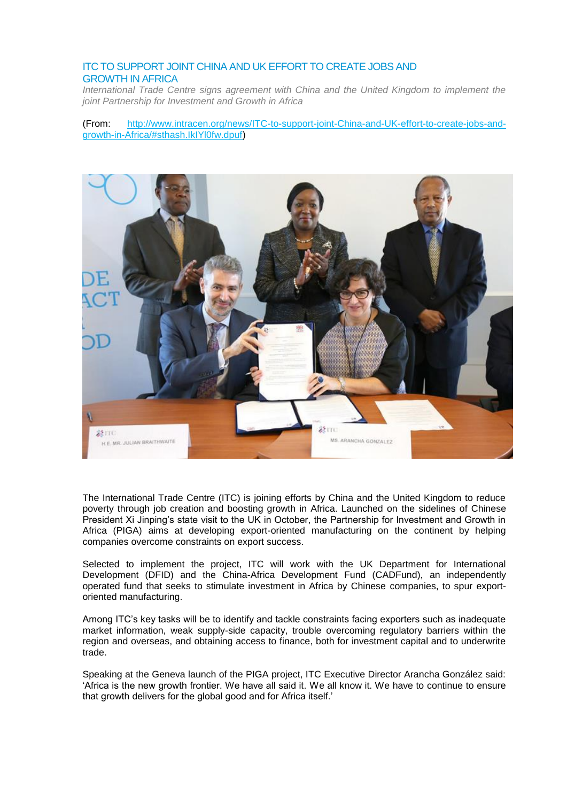# ITC TO SUPPORT JOINT CHINA AND UK EFFORT TO CREATE JOBS AND GROWTH IN AFRICA

*International Trade Centre signs agreement with China and the United Kingdom to implement the joint Partnership for Investment and Growth in Africa*

(From: [http://www.intracen.org/news/ITC-to-support-joint-China-and-UK-effort-to-create-jobs-and](http://www.intracen.org/news/ITC-to-support-joint-China-and-UK-effort-to-create-jobs-and-growth-in-Africa/#sthash.IkIYl0fw.dpuf)[growth-in-Africa/#sthash.IkIYl0fw.dpuf\)](http://www.intracen.org/news/ITC-to-support-joint-China-and-UK-effort-to-create-jobs-and-growth-in-Africa/#sthash.IkIYl0fw.dpuf)



The International Trade Centre (ITC) is joining efforts by China and the United Kingdom to reduce poverty through job creation and boosting growth in Africa. Launched on the sidelines of Chinese President Xi Jinping's state visit to the UK in October, the Partnership for Investment and Growth in Africa (PIGA) aims at developing export-oriented manufacturing on the continent by helping companies overcome constraints on export success.

Selected to implement the project, ITC will work with the UK Department for International Development (DFID) and the China-Africa Development Fund (CADFund), an independently operated fund that seeks to stimulate investment in Africa by Chinese companies, to spur exportoriented manufacturing.

Among ITC's key tasks will be to identify and tackle constraints facing exporters such as inadequate market information, weak supply-side capacity, trouble overcoming regulatory barriers within the region and overseas, and obtaining access to finance, both for investment capital and to underwrite trade.

Speaking at the Geneva launch of the PIGA project, ITC Executive Director Arancha González said: 'Africa is the new growth frontier. We have all said it. We all know it. We have to continue to ensure that growth delivers for the global good and for Africa itself.'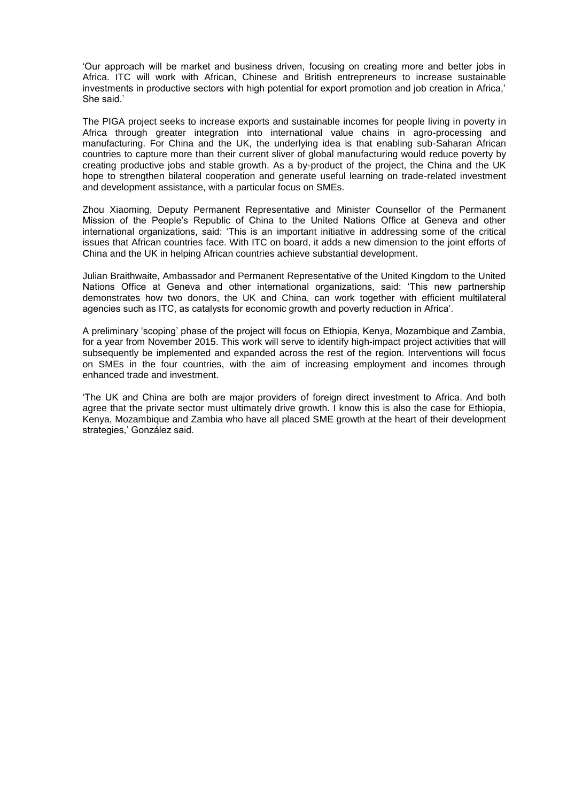'Our approach will be market and business driven, focusing on creating more and better jobs in Africa. ITC will work with African, Chinese and British entrepreneurs to increase sustainable investments in productive sectors with high potential for export promotion and job creation in Africa,' She said.'

The PIGA project seeks to increase exports and sustainable incomes for people living in poverty in Africa through greater integration into international value chains in agro-processing and manufacturing. For China and the UK, the underlying idea is that enabling sub-Saharan African countries to capture more than their current sliver of global manufacturing would reduce poverty by creating productive jobs and stable growth. As a by-product of the project, the China and the UK hope to strengthen bilateral cooperation and generate useful learning on trade-related investment and development assistance, with a particular focus on SMEs.

Zhou Xiaoming, Deputy Permanent Representative and Minister Counsellor of the Permanent Mission of the People's Republic of China to the United Nations Office at Geneva and other international organizations, said: 'This is an important initiative in addressing some of the critical issues that African countries face. With ITC on board, it adds a new dimension to the joint efforts of China and the UK in helping African countries achieve substantial development.

Julian Braithwaite, Ambassador and Permanent Representative of the United Kingdom to the United Nations Office at Geneva and other international organizations, said: 'This new partnership demonstrates how two donors, the UK and China, can work together with efficient multilateral agencies such as ITC, as catalysts for economic growth and poverty reduction in Africa'.

A preliminary 'scoping' phase of the project will focus on Ethiopia, Kenya, Mozambique and Zambia, for a year from November 2015. This work will serve to identify high-impact project activities that will subsequently be implemented and expanded across the rest of the region. Interventions will focus on SMEs in the four countries, with the aim of increasing employment and incomes through enhanced trade and investment.

'The UK and China are both are major providers of foreign direct investment to Africa. And both agree that the private sector must ultimately drive growth. I know this is also the case for Ethiopia, Kenya, Mozambique and Zambia who have all placed SME growth at the heart of their development strategies,' González said.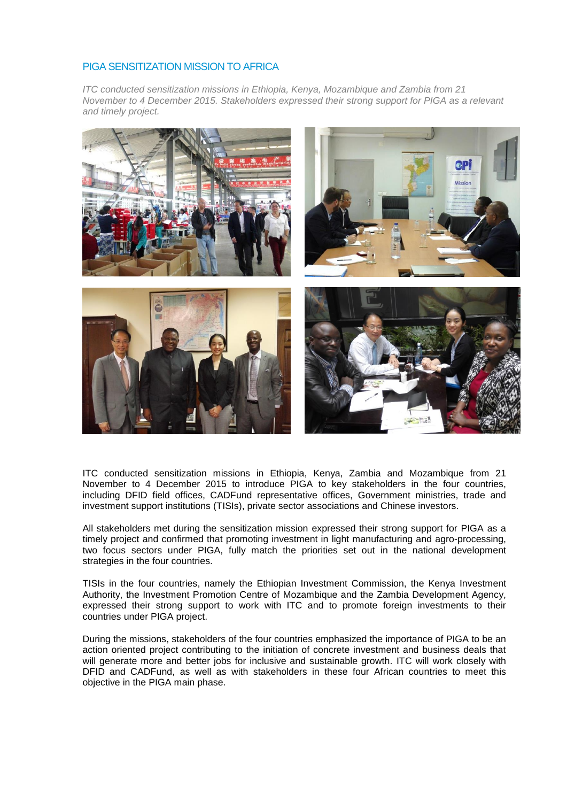#### PIGA SENSITIZATION MISSION TO AFRICA

*ITC conducted sensitization missions in Ethiopia, Kenya, Mozambique and Zambia from 21 November to 4 December 2015. Stakeholders expressed their strong support for PIGA as a relevant and timely project.*



ITC conducted sensitization missions in Ethiopia, Kenya, Zambia and Mozambique from 21 November to 4 December 2015 to introduce PIGA to key stakeholders in the four countries, including DFID field offices, CADFund representative offices, Government ministries, trade and investment support institutions (TISIs), private sector associations and Chinese investors.

All stakeholders met during the sensitization mission expressed their strong support for PIGA as a timely project and confirmed that promoting investment in light manufacturing and agro-processing, two focus sectors under PIGA, fully match the priorities set out in the national development strategies in the four countries.

TISIs in the four countries, namely the Ethiopian Investment Commission, the Kenya Investment Authority, the Investment Promotion Centre of Mozambique and the Zambia Development Agency, expressed their strong support to work with ITC and to promote foreign investments to their countries under PIGA project.

During the missions, stakeholders of the four countries emphasized the importance of PIGA to be an action oriented project contributing to the initiation of concrete investment and business deals that will generate more and better jobs for inclusive and sustainable growth. ITC will work closely with DFID and CADFund, as well as with stakeholders in these four African countries to meet this objective in the PIGA main phase.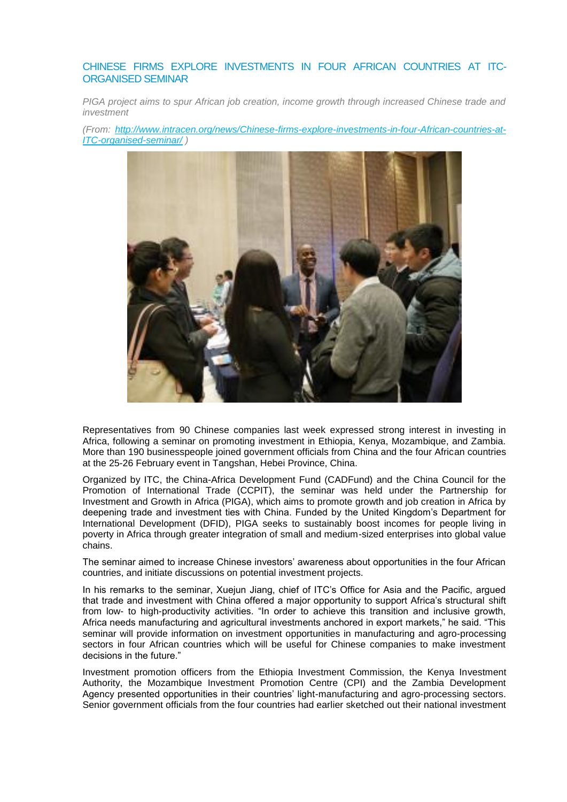#### CHINESE FIRMS EXPLORE INVESTMENTS IN FOUR AFRICAN COUNTRIES AT ITC-ORGANISED SEMINAR

*PIGA project aims to spur African job creation, income growth through increased Chinese trade and investment* 

*(From: [http://www.intracen.org/news/Chinese-firms-explore-investments-in-four-African-countries-at-](http://www.intracen.org/news/Chinese-firms-explore-investments-in-four-African-countries-at-ITC-organised-seminar/)[ITC-organised-seminar/](http://www.intracen.org/news/Chinese-firms-explore-investments-in-four-African-countries-at-ITC-organised-seminar/) )*



Representatives from 90 Chinese companies last week expressed strong interest in investing in Africa, following a seminar on promoting investment in Ethiopia, Kenya, Mozambique, and Zambia. More than 190 businesspeople joined government officials from China and the four African countries at the 25-26 February event in Tangshan, Hebei Province, China.

Organized by ITC, the China-Africa Development Fund (CADFund) and the China Council for the Promotion of International Trade (CCPIT), the seminar was held under the Partnership for Investment and Growth in Africa (PIGA), which aims to promote growth and job creation in Africa by deepening trade and investment ties with China. Funded by the United Kingdom's Department for International Development (DFID), PIGA seeks to sustainably boost incomes for people living in poverty in Africa through greater integration of small and medium-sized enterprises into global value chains.

The seminar aimed to increase Chinese investors' awareness about opportunities in the four African countries, and initiate discussions on potential investment projects.

In his remarks to the seminar, Xuejun Jiang, chief of ITC's Office for Asia and the Pacific, argued that trade and investment with China offered a major opportunity to support Africa's structural shift from low- to high-productivity activities. "In order to achieve this transition and inclusive growth, Africa needs manufacturing and agricultural investments anchored in export markets," he said. "This seminar will provide information on investment opportunities in manufacturing and agro-processing sectors in four African countries which will be useful for Chinese companies to make investment decisions in the future."

Investment promotion officers from the Ethiopia Investment Commission, the Kenya Investment Authority, the Mozambique Investment Promotion Centre (CPI) and the Zambia Development Agency presented opportunities in their countries' light-manufacturing and agro-processing sectors. Senior government officials from the four countries had earlier sketched out their national investment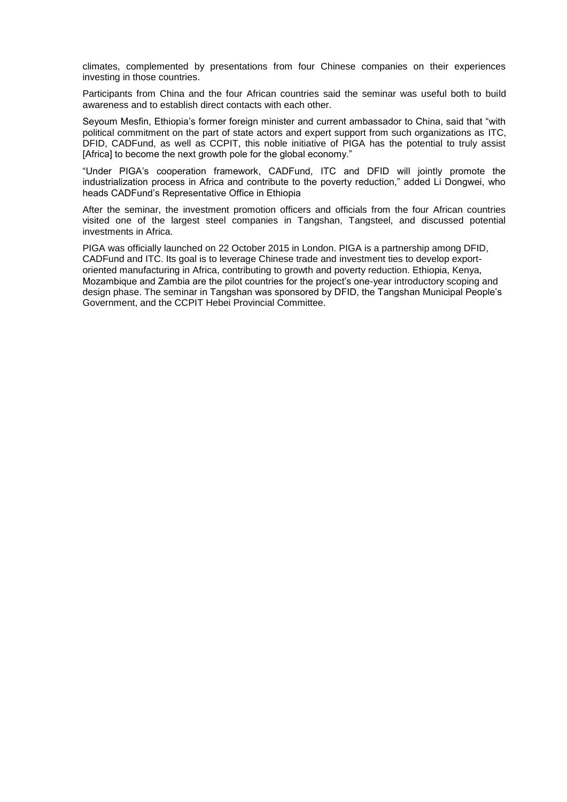climates, complemented by presentations from four Chinese companies on their experiences investing in those countries.

Participants from China and the four African countries said the seminar was useful both to build awareness and to establish direct contacts with each other.

Seyoum Mesfin, Ethiopia's former foreign minister and current ambassador to China, said that "with political commitment on the part of state actors and expert support from such organizations as ITC, DFID, CADFund, as well as CCPIT, this noble initiative of PIGA has the potential to truly assist [Africa] to become the next growth pole for the global economy."

"Under PIGA's cooperation framework, CADFund, ITC and DFID will jointly promote the industrialization process in Africa and contribute to the poverty reduction," added Li Dongwei, who heads CADFund's Representative Office in Ethiopia

After the seminar, the investment promotion officers and officials from the four African countries visited one of the largest steel companies in Tangshan, Tangsteel, and discussed potential investments in Africa.

PIGA was officially launched on 22 October 2015 in London. PIGA is a partnership among DFID, CADFund and ITC. Its goal is to leverage Chinese trade and investment ties to develop exportoriented manufacturing in Africa, contributing to growth and poverty reduction. Ethiopia, Kenya, Mozambique and Zambia are the pilot countries for the project's one-year introductory scoping and design phase. The seminar in Tangshan was sponsored by DFID, the Tangshan Municipal People's Government, and the CCPIT Hebei Provincial Committee.